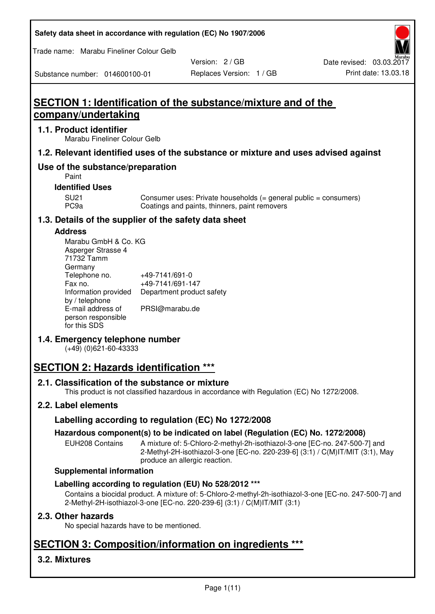| Safety data sheet in accordance with regulation (EC) No 1907/2006 |  |  |  |
|-------------------------------------------------------------------|--|--|--|
|-------------------------------------------------------------------|--|--|--|

Trade name: Marabu Fineliner Colour Gelb

Substance number: 014600100-01

Version: 2 / GB

# **SECTION 1: Identification of the substance/mixture and of the company/undertaking**

## **1.1. Product identifier**

Marabu Fineliner Colour Gelb

## **1.2. Relevant identified uses of the substance or mixture and uses advised against**

# **Use of the substance/preparation**

Paint

## **Identified Uses**

SU21 Consumer uses: Private households (= general public = consumers)<br>PC9a Coatings and paints, thinners, paint removers Coatings and paints, thinners, paint removers

## **1.3. Details of the supplier of the safety data sheet**

## **Address**

| Marabu GmbH & Co. KG |                           |
|----------------------|---------------------------|
| Asperger Strasse 4   |                           |
| 71732 Tamm           |                           |
| Germany              |                           |
| Telephone no.        | +49-7141/691-0            |
| Fax no.              | +49-7141/691-147          |
| Information provided | Department product safety |
| by / telephone       |                           |
| E-mail address of    | PRSI@marabu.de            |
| person responsible   |                           |
| for this SDS         |                           |

# **1.4. Emergency telephone number**

(+49) (0)621-60-43333

# **SECTION 2: Hazards identification \*\*\***

## **2.1. Classification of the substance or mixture**

This product is not classified hazardous in accordance with Regulation (EC) No 1272/2008.

# **2.2. Label elements**

# **Labelling according to regulation (EC) No 1272/2008**

## **Hazardous component(s) to be indicated on label (Regulation (EC) No. 1272/2008)**

EUH208 Contains A mixture of: 5-Chloro-2-methyl-2h-isothiazol-3-one [EC-no. 247-500-7] and 2-Methyl-2H-isothiazol-3-one [EC-no. 220-239-6] (3:1) / C(M)IT/MIT (3:1), May produce an allergic reaction.

## **Supplemental information**

# **Labelling according to regulation (EU) No 528/2012 \*\*\***

Contains a biocidal product. A mixture of: 5-Chloro-2-methyl-2h-isothiazol-3-one [EC-no. 247-500-7] and 2-Methyl-2H-isothiazol-3-one [EC-no. 220-239-6] (3:1) / C(M)IT/MIT (3:1)

## **2.3. Other hazards**

No special hazards have to be mentioned.

# **SECTION 3: Composition/information on ingredients \*\*\***

# **3.2. Mixtures**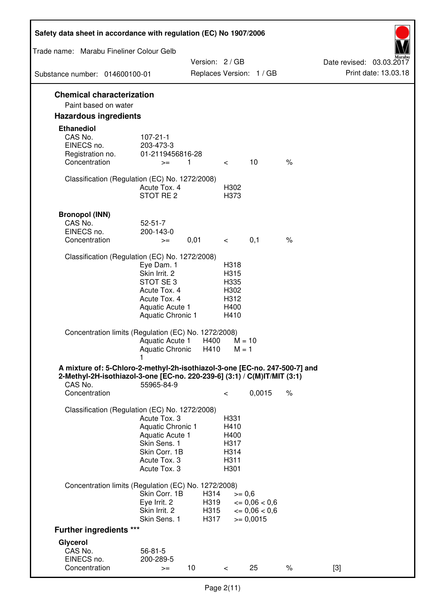| Safety data sheet in accordance with regulation (EC) No 1907/2006                                                                                                 |                                                                                                                             |                              |                                                      |                                                         |      |                                                  |
|-------------------------------------------------------------------------------------------------------------------------------------------------------------------|-----------------------------------------------------------------------------------------------------------------------------|------------------------------|------------------------------------------------------|---------------------------------------------------------|------|--------------------------------------------------|
| Trade name: Marabu Fineliner Colour Gelb                                                                                                                          |                                                                                                                             |                              |                                                      |                                                         |      |                                                  |
| Substance number: 014600100-01                                                                                                                                    |                                                                                                                             | Version: 2 / GB              |                                                      | Replaces Version: 1 / GB                                |      | Date revised: 03.03.2017<br>Print date: 13.03.18 |
|                                                                                                                                                                   |                                                                                                                             |                              |                                                      |                                                         |      |                                                  |
| <b>Chemical characterization</b><br>Paint based on water                                                                                                          |                                                                                                                             |                              |                                                      |                                                         |      |                                                  |
| <b>Hazardous ingredients</b>                                                                                                                                      |                                                                                                                             |                              |                                                      |                                                         |      |                                                  |
| <b>Ethanediol</b><br>CAS No.<br>EINECS no.<br>Registration no.<br>Concentration                                                                                   | $107 - 21 - 1$<br>203-473-3<br>01-2119456816-28<br>$>=$                                                                     | 1                            | $\overline{\phantom{0}}$                             | 10                                                      | $\%$ |                                                  |
| Classification (Regulation (EC) No. 1272/2008)                                                                                                                    | Acute Tox, 4<br>STOT RE 2                                                                                                   |                              | H302<br>H373                                         |                                                         |      |                                                  |
| <b>Bronopol (INN)</b><br>CAS No.<br>EINECS no.<br>Concentration                                                                                                   | $52 - 51 - 7$<br>200-143-0<br>$>=$                                                                                          | 0,01                         | $\lt$ $\sim$                                         | 0,1                                                     | $\%$ |                                                  |
| Classification (Regulation (EC) No. 1272/2008)                                                                                                                    |                                                                                                                             |                              |                                                      |                                                         |      |                                                  |
|                                                                                                                                                                   | Eye Dam. 1<br>Skin Irrit. 2<br>STOT SE <sub>3</sub><br>Acute Tox. 4<br>Acute Tox. 4<br>Aquatic Acute 1<br>Aquatic Chronic 1 |                              | H318<br>H315<br>H335<br>H302<br>H312<br>H400<br>H410 |                                                         |      |                                                  |
| Concentration limits (Regulation (EC) No. 1272/2008)                                                                                                              | Aquatic Acute 1<br>Aquatic Chronic H410                                                                                     | H400                         | $M = 10$<br>$M = 1$                                  |                                                         |      |                                                  |
| A mixture of: 5-Chloro-2-methyl-2h-isothiazol-3-one [EC-no. 247-500-7] and<br>2-Methyl-2H-isothiazol-3-one [EC-no. 220-239-6] (3:1) / C(M)IT/MIT (3:1)<br>CAS No. | 55965-84-9                                                                                                                  |                              |                                                      |                                                         |      |                                                  |
| Concentration                                                                                                                                                     |                                                                                                                             |                              | $\,<\,$                                              | 0,0015                                                  | $\%$ |                                                  |
| Classification (Regulation (EC) No. 1272/2008)                                                                                                                    | Acute Tox. 3<br>Aquatic Chronic 1<br>Aquatic Acute 1<br>Skin Sens. 1<br>Skin Corr. 1B<br>Acute Tox. 3<br>Acute Tox. 3       |                              | H331<br>H410<br>H400<br>H317<br>H314<br>H311<br>H301 |                                                         |      |                                                  |
| Concentration limits (Regulation (EC) No. 1272/2008)                                                                                                              |                                                                                                                             |                              |                                                      |                                                         |      |                                                  |
|                                                                                                                                                                   | Skin Corr. 1B<br>Eye Irrit. 2<br>Skin Irrit. 2<br>Skin Sens. 1                                                              | H314<br>H319<br>H315<br>H317 | $>= 0,6$                                             | $\epsilon = 0.06 < 0.6$<br>$= 0,06 < 0,6$<br>$= 0,0015$ |      |                                                  |
| <b>Further ingredients ***</b>                                                                                                                                    |                                                                                                                             |                              |                                                      |                                                         |      |                                                  |
| Glycerol<br>CAS No.<br>EINECS no.<br>Concentration                                                                                                                | $56 - 81 - 5$<br>200-289-5<br>$>=$                                                                                          | 10                           | $\,<\,$                                              | 25                                                      | $\%$ | $[3]$                                            |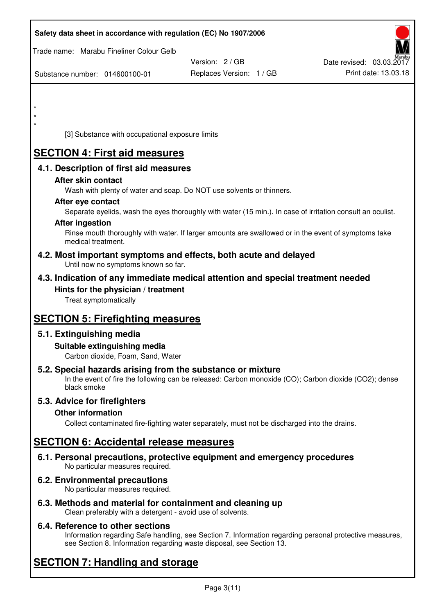| Safety data sheet in accordance with regulation (EC) No 1907/2006                                                                                                                  |                                             |                                                  |
|------------------------------------------------------------------------------------------------------------------------------------------------------------------------------------|---------------------------------------------|--------------------------------------------------|
| Trade name: Marabu Fineliner Colour Gelb                                                                                                                                           |                                             |                                                  |
| Substance number: 014600100-01                                                                                                                                                     | Version: 2 / GB<br>Replaces Version: 1 / GB | Date revised: 03.03.2017<br>Print date: 13.03.18 |
|                                                                                                                                                                                    |                                             |                                                  |
| $\star$<br>$\star$                                                                                                                                                                 |                                             |                                                  |
| $\star$                                                                                                                                                                            |                                             |                                                  |
| [3] Substance with occupational exposure limits                                                                                                                                    |                                             |                                                  |
| <b>SECTION 4: First aid measures</b>                                                                                                                                               |                                             |                                                  |
| 4.1. Description of first aid measures                                                                                                                                             |                                             |                                                  |
| After skin contact<br>Wash with plenty of water and soap. Do NOT use solvents or thinners.                                                                                         |                                             |                                                  |
| After eye contact                                                                                                                                                                  |                                             |                                                  |
| Separate eyelids, wash the eyes thoroughly with water (15 min.). In case of irritation consult an oculist.<br><b>After ingestion</b>                                               |                                             |                                                  |
| Rinse mouth thoroughly with water. If larger amounts are swallowed or in the event of symptoms take<br>medical treatment.                                                          |                                             |                                                  |
| 4.2. Most important symptoms and effects, both acute and delayed<br>Until now no symptoms known so far.                                                                            |                                             |                                                  |
| 4.3. Indication of any immediate medical attention and special treatment needed                                                                                                    |                                             |                                                  |
| Hints for the physician / treatment<br>Treat symptomatically                                                                                                                       |                                             |                                                  |
|                                                                                                                                                                                    |                                             |                                                  |
| <b>SECTION 5: Firefighting measures</b>                                                                                                                                            |                                             |                                                  |
| 5.1. Extinguishing media<br>Suitable extinguishing media<br>Carbon dioxide, Foam, Sand, Water                                                                                      |                                             |                                                  |
| 5.2. Special hazards arising from the substance or mixture<br>In the event of fire the following can be released: Carbon monoxide (CO); Carbon dioxide (CO2); dense<br>black smoke |                                             |                                                  |
| 5.3. Advice for firefighters                                                                                                                                                       |                                             |                                                  |
| <b>Other information</b><br>Collect contaminated fire-fighting water separately, must not be discharged into the drains.                                                           |                                             |                                                  |
| <b>SECTION 6: Accidental release measures</b>                                                                                                                                      |                                             |                                                  |
| 6.1. Personal precautions, protective equipment and emergency procedures<br>No particular measures required.                                                                       |                                             |                                                  |
| 6.2. Environmental precautions<br>No particular measures required.                                                                                                                 |                                             |                                                  |
|                                                                                                                                                                                    |                                             |                                                  |

**6.3. Methods and material for containment and cleaning up**  Clean preferably with a detergent - avoid use of solvents.

# **6.4. Reference to other sections**

Information regarding Safe handling, see Section 7. Information regarding personal protective measures, see Section 8. Information regarding waste disposal, see Section 13.

# **SECTION 7: Handling and storage**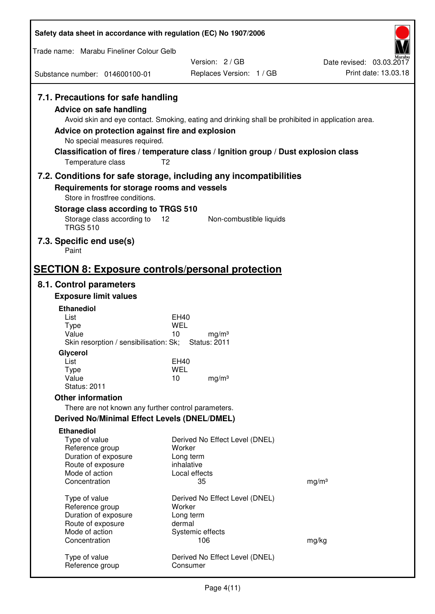| Safety data sheet in accordance with regulation (EC) No 1907/2006                                                                                                                               |                                                                                                                                                                                          |                          |
|-------------------------------------------------------------------------------------------------------------------------------------------------------------------------------------------------|------------------------------------------------------------------------------------------------------------------------------------------------------------------------------------------|--------------------------|
| Trade name: Marabu Fineliner Colour Gelb                                                                                                                                                        |                                                                                                                                                                                          |                          |
|                                                                                                                                                                                                 | Version: 2/GB                                                                                                                                                                            | Date revised: 03.03.2017 |
| Substance number: 014600100-01                                                                                                                                                                  | Replaces Version: 1 / GB                                                                                                                                                                 | Print date: 13.03.18     |
| 7.1. Precautions for safe handling<br><b>Advice on safe handling</b><br>Advice on protection against fire and explosion<br>No special measures required.<br>T <sub>2</sub><br>Temperature class | Avoid skin and eye contact. Smoking, eating and drinking shall be prohibited in application area.<br>Classification of fires / temperature class / Ignition group / Dust explosion class |                          |
| 7.2. Conditions for safe storage, including any incompatibilities                                                                                                                               |                                                                                                                                                                                          |                          |
| Requirements for storage rooms and vessels<br>Store in frostfree conditions.                                                                                                                    |                                                                                                                                                                                          |                          |
| Storage class according to TRGS 510                                                                                                                                                             |                                                                                                                                                                                          |                          |
| Storage class according to<br>$12 \overline{ }$<br><b>TRGS 510</b>                                                                                                                              | Non-combustible liquids                                                                                                                                                                  |                          |
| 7.3. Specific end use(s)<br>Paint                                                                                                                                                               |                                                                                                                                                                                          |                          |
| <b>SECTION 8: Exposure controls/personal protection</b>                                                                                                                                         |                                                                                                                                                                                          |                          |
| 8.1. Control parameters                                                                                                                                                                         |                                                                                                                                                                                          |                          |
| <b>Exposure limit values</b>                                                                                                                                                                    |                                                                                                                                                                                          |                          |
| <b>Ethanediol</b><br>List                                                                                                                                                                       | EH40                                                                                                                                                                                     |                          |
| <b>Type</b>                                                                                                                                                                                     | WEL                                                                                                                                                                                      |                          |
| Value                                                                                                                                                                                           | 10<br>mg/m <sup>3</sup>                                                                                                                                                                  |                          |
| Skin resorption / sensibilisation: Sk;<br>Glycerol                                                                                                                                              | <b>Status: 2011</b>                                                                                                                                                                      |                          |
| List                                                                                                                                                                                            | EH40                                                                                                                                                                                     |                          |
| <b>Type</b>                                                                                                                                                                                     | <b>WEL</b>                                                                                                                                                                               |                          |
| Value<br><b>Status: 2011</b>                                                                                                                                                                    | 10<br>mg/m <sup>3</sup>                                                                                                                                                                  |                          |
| <b>Other information</b>                                                                                                                                                                        |                                                                                                                                                                                          |                          |
| There are not known any further control parameters.                                                                                                                                             |                                                                                                                                                                                          |                          |
| <b>Derived No/Minimal Effect Levels (DNEL/DMEL)</b>                                                                                                                                             |                                                                                                                                                                                          |                          |
| <b>Ethanediol</b>                                                                                                                                                                               |                                                                                                                                                                                          |                          |
| Type of value                                                                                                                                                                                   | Derived No Effect Level (DNEL)                                                                                                                                                           |                          |
| Reference group<br>Duration of exposure                                                                                                                                                         | Worker<br>Long term                                                                                                                                                                      |                          |
| Route of exposure                                                                                                                                                                               | inhalative                                                                                                                                                                               |                          |
| Mode of action                                                                                                                                                                                  | Local effects                                                                                                                                                                            |                          |
| Concentration                                                                                                                                                                                   | 35                                                                                                                                                                                       | mg/m <sup>3</sup>        |
| Type of value                                                                                                                                                                                   | Derived No Effect Level (DNEL)                                                                                                                                                           |                          |
| Reference group                                                                                                                                                                                 | Worker                                                                                                                                                                                   |                          |
| Duration of exposure                                                                                                                                                                            | Long term<br>dermal                                                                                                                                                                      |                          |
| Route of exposure<br>Mode of action                                                                                                                                                             | Systemic effects                                                                                                                                                                         |                          |
| Concentration                                                                                                                                                                                   | 106                                                                                                                                                                                      | mg/kg                    |
| Type of value<br>Reference group                                                                                                                                                                | Derived No Effect Level (DNEL)<br>Consumer                                                                                                                                               |                          |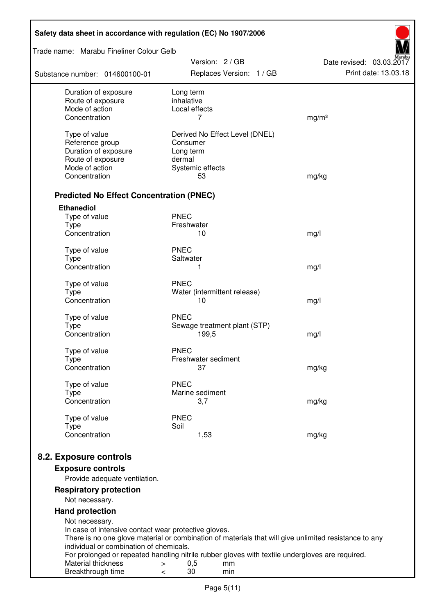| Safety data sheet in accordance with regulation (EC) No 1907/2006 |                                                                                                       |                                                  |
|-------------------------------------------------------------------|-------------------------------------------------------------------------------------------------------|--------------------------------------------------|
| Trade name: Marabu Fineliner Colour Gelb                          |                                                                                                       |                                                  |
| Substance number: 014600100-01                                    | Version: 2 / GB<br>Replaces Version: 1 / GB                                                           | Date revised: 03.03.2017<br>Print date: 13.03.18 |
| Duration of exposure                                              | Long term                                                                                             |                                                  |
| Route of exposure<br>Mode of action                               | inhalative<br>Local effects                                                                           |                                                  |
| Concentration                                                     | 7                                                                                                     | mg/m <sup>3</sup>                                |
|                                                                   |                                                                                                       |                                                  |
| Type of value                                                     | Derived No Effect Level (DNEL)<br>Consumer                                                            |                                                  |
| Reference group<br>Duration of exposure                           | Long term                                                                                             |                                                  |
| Route of exposure                                                 | dermal                                                                                                |                                                  |
| Mode of action                                                    | Systemic effects                                                                                      |                                                  |
| Concentration                                                     | 53                                                                                                    | mg/kg                                            |
| <b>Predicted No Effect Concentration (PNEC)</b>                   |                                                                                                       |                                                  |
| <b>Ethanediol</b>                                                 |                                                                                                       |                                                  |
| Type of value                                                     | <b>PNEC</b>                                                                                           |                                                  |
| <b>Type</b>                                                       | Freshwater                                                                                            |                                                  |
| Concentration                                                     | 10                                                                                                    | mg/l                                             |
| Type of value                                                     | <b>PNEC</b>                                                                                           |                                                  |
| <b>Type</b>                                                       | Saltwater                                                                                             |                                                  |
| Concentration                                                     | 1                                                                                                     | mg/l                                             |
| Type of value                                                     | <b>PNEC</b>                                                                                           |                                                  |
| <b>Type</b>                                                       | Water (intermittent release)                                                                          |                                                  |
| Concentration                                                     | 10                                                                                                    | mg/l                                             |
| Type of value                                                     | <b>PNEC</b>                                                                                           |                                                  |
| <b>Type</b>                                                       | Sewage treatment plant (STP)                                                                          |                                                  |
| Concentration                                                     | 199,5                                                                                                 | mg/l                                             |
| Type of value                                                     | <b>PNEC</b>                                                                                           |                                                  |
| <b>Type</b>                                                       | Freshwater sediment                                                                                   |                                                  |
| Concentration                                                     | 37                                                                                                    | mg/kg                                            |
| Type of value                                                     | <b>PNEC</b>                                                                                           |                                                  |
| <b>Type</b>                                                       | Marine sediment                                                                                       |                                                  |
| Concentration                                                     | 3,7                                                                                                   | mg/kg                                            |
| Type of value                                                     | <b>PNEC</b>                                                                                           |                                                  |
| <b>Type</b>                                                       | Soil                                                                                                  |                                                  |
| Concentration                                                     | 1,53                                                                                                  | mg/kg                                            |
| 8.2. Exposure controls                                            |                                                                                                       |                                                  |
| <b>Exposure controls</b>                                          |                                                                                                       |                                                  |
| Provide adequate ventilation.                                     |                                                                                                       |                                                  |
| <b>Respiratory protection</b><br>Not necessary.                   |                                                                                                       |                                                  |
| <b>Hand protection</b>                                            |                                                                                                       |                                                  |
| Not necessary.                                                    |                                                                                                       |                                                  |
| In case of intensive contact wear protective gloves.              |                                                                                                       |                                                  |
|                                                                   | There is no one glove material or combination of materials that will give unlimited resistance to any |                                                  |
| individual or combination of chemicals.                           | For prolonged or repeated handling nitrile rubber gloves with textile undergloves are required.       |                                                  |
| Material thickness                                                | 0,5<br>mm<br>$\,>$                                                                                    |                                                  |
| Breakthrough time                                                 | 30<br>min<br>$\,<\,$                                                                                  |                                                  |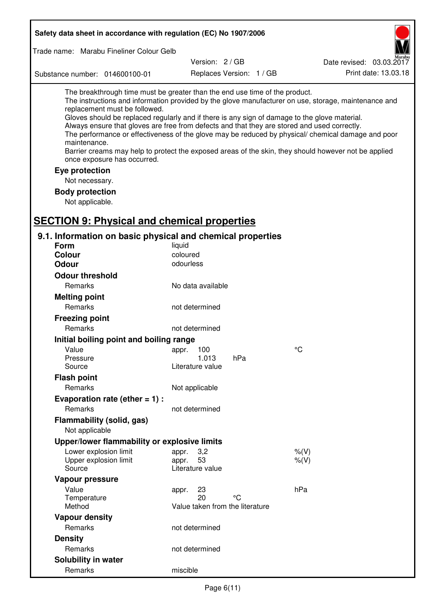| Safety data sheet in accordance with regulation (EC) No 1907/2006                                                                                                                                                                                                                                                                                            |                                       |                          |                                                                                                                                                                                                                                                                                                                    |
|--------------------------------------------------------------------------------------------------------------------------------------------------------------------------------------------------------------------------------------------------------------------------------------------------------------------------------------------------------------|---------------------------------------|--------------------------|--------------------------------------------------------------------------------------------------------------------------------------------------------------------------------------------------------------------------------------------------------------------------------------------------------------------|
| Trade name: Marabu Fineliner Colour Gelb                                                                                                                                                                                                                                                                                                                     |                                       |                          |                                                                                                                                                                                                                                                                                                                    |
|                                                                                                                                                                                                                                                                                                                                                              | Version: 2/GB                         |                          | Date revised: 03.03.2017                                                                                                                                                                                                                                                                                           |
| Substance number: 014600100-01                                                                                                                                                                                                                                                                                                                               |                                       | Replaces Version: 1 / GB | Print date: 13.03.18                                                                                                                                                                                                                                                                                               |
|                                                                                                                                                                                                                                                                                                                                                              |                                       |                          |                                                                                                                                                                                                                                                                                                                    |
| The breakthrough time must be greater than the end use time of the product.<br>replacement must be followed.<br>Gloves should be replaced regularly and if there is any sign of damage to the glove material.<br>Always ensure that gloves are free from defects and that they are stored and used correctly.<br>maintenance.<br>once exposure has occurred. |                                       |                          | The instructions and information provided by the glove manufacturer on use, storage, maintenance and<br>The performance or effectiveness of the glove may be reduced by physical/ chemical damage and poor<br>Barrier creams may help to protect the exposed areas of the skin, they should however not be applied |
| Eye protection                                                                                                                                                                                                                                                                                                                                               |                                       |                          |                                                                                                                                                                                                                                                                                                                    |
| Not necessary.                                                                                                                                                                                                                                                                                                                                               |                                       |                          |                                                                                                                                                                                                                                                                                                                    |
| <b>Body protection</b>                                                                                                                                                                                                                                                                                                                                       |                                       |                          |                                                                                                                                                                                                                                                                                                                    |
| Not applicable.                                                                                                                                                                                                                                                                                                                                              |                                       |                          |                                                                                                                                                                                                                                                                                                                    |
|                                                                                                                                                                                                                                                                                                                                                              |                                       |                          |                                                                                                                                                                                                                                                                                                                    |
| <b>SECTION 9: Physical and chemical properties</b>                                                                                                                                                                                                                                                                                                           |                                       |                          |                                                                                                                                                                                                                                                                                                                    |
| 9.1. Information on basic physical and chemical properties                                                                                                                                                                                                                                                                                                   |                                       |                          |                                                                                                                                                                                                                                                                                                                    |
| <b>Form</b>                                                                                                                                                                                                                                                                                                                                                  | liquid                                |                          |                                                                                                                                                                                                                                                                                                                    |
| <b>Colour</b><br><b>Odour</b>                                                                                                                                                                                                                                                                                                                                | coloured                              |                          |                                                                                                                                                                                                                                                                                                                    |
|                                                                                                                                                                                                                                                                                                                                                              | odourless                             |                          |                                                                                                                                                                                                                                                                                                                    |
| <b>Odour threshold</b>                                                                                                                                                                                                                                                                                                                                       |                                       |                          |                                                                                                                                                                                                                                                                                                                    |
| Remarks                                                                                                                                                                                                                                                                                                                                                      | No data available                     |                          |                                                                                                                                                                                                                                                                                                                    |
| <b>Melting point</b>                                                                                                                                                                                                                                                                                                                                         |                                       |                          |                                                                                                                                                                                                                                                                                                                    |
| Remarks                                                                                                                                                                                                                                                                                                                                                      | not determined                        |                          |                                                                                                                                                                                                                                                                                                                    |
| <b>Freezing point</b>                                                                                                                                                                                                                                                                                                                                        |                                       |                          |                                                                                                                                                                                                                                                                                                                    |
| Remarks                                                                                                                                                                                                                                                                                                                                                      | not determined                        |                          |                                                                                                                                                                                                                                                                                                                    |
| Initial boiling point and boiling range                                                                                                                                                                                                                                                                                                                      |                                       |                          |                                                                                                                                                                                                                                                                                                                    |
| Value                                                                                                                                                                                                                                                                                                                                                        | 100<br>appr.                          |                          | °C                                                                                                                                                                                                                                                                                                                 |
| Pressure<br>Source                                                                                                                                                                                                                                                                                                                                           | 1.013<br>Literature value             | hPa                      |                                                                                                                                                                                                                                                                                                                    |
| <b>Flash point</b>                                                                                                                                                                                                                                                                                                                                           |                                       |                          |                                                                                                                                                                                                                                                                                                                    |
| Remarks                                                                                                                                                                                                                                                                                                                                                      | Not applicable                        |                          |                                                                                                                                                                                                                                                                                                                    |
| Evaporation rate (ether $= 1$ ) :                                                                                                                                                                                                                                                                                                                            |                                       |                          |                                                                                                                                                                                                                                                                                                                    |
| Remarks                                                                                                                                                                                                                                                                                                                                                      | not determined                        |                          |                                                                                                                                                                                                                                                                                                                    |
| Flammability (solid, gas)                                                                                                                                                                                                                                                                                                                                    |                                       |                          |                                                                                                                                                                                                                                                                                                                    |
| Not applicable                                                                                                                                                                                                                                                                                                                                               |                                       |                          |                                                                                                                                                                                                                                                                                                                    |
| Upper/lower flammability or explosive limits                                                                                                                                                                                                                                                                                                                 |                                       |                          |                                                                                                                                                                                                                                                                                                                    |
| Lower explosion limit                                                                                                                                                                                                                                                                                                                                        | 3,2<br>appr.                          |                          | $%$ $(V)$                                                                                                                                                                                                                                                                                                          |
| Upper explosion limit                                                                                                                                                                                                                                                                                                                                        | 53<br>appr.                           |                          | $%$ (V)                                                                                                                                                                                                                                                                                                            |
| Source                                                                                                                                                                                                                                                                                                                                                       | Literature value                      |                          |                                                                                                                                                                                                                                                                                                                    |
| Vapour pressure                                                                                                                                                                                                                                                                                                                                              |                                       |                          |                                                                                                                                                                                                                                                                                                                    |
| Value                                                                                                                                                                                                                                                                                                                                                        | 23<br>appr.                           |                          | hPa                                                                                                                                                                                                                                                                                                                |
| Temperature<br>Method                                                                                                                                                                                                                                                                                                                                        | 20<br>Value taken from the literature | °C                       |                                                                                                                                                                                                                                                                                                                    |
| <b>Vapour density</b>                                                                                                                                                                                                                                                                                                                                        |                                       |                          |                                                                                                                                                                                                                                                                                                                    |
| Remarks                                                                                                                                                                                                                                                                                                                                                      | not determined                        |                          |                                                                                                                                                                                                                                                                                                                    |
| <b>Density</b>                                                                                                                                                                                                                                                                                                                                               |                                       |                          |                                                                                                                                                                                                                                                                                                                    |
| Remarks                                                                                                                                                                                                                                                                                                                                                      | not determined                        |                          |                                                                                                                                                                                                                                                                                                                    |
| Solubility in water                                                                                                                                                                                                                                                                                                                                          |                                       |                          |                                                                                                                                                                                                                                                                                                                    |
| Remarks                                                                                                                                                                                                                                                                                                                                                      | miscible                              |                          |                                                                                                                                                                                                                                                                                                                    |
|                                                                                                                                                                                                                                                                                                                                                              |                                       |                          |                                                                                                                                                                                                                                                                                                                    |

Г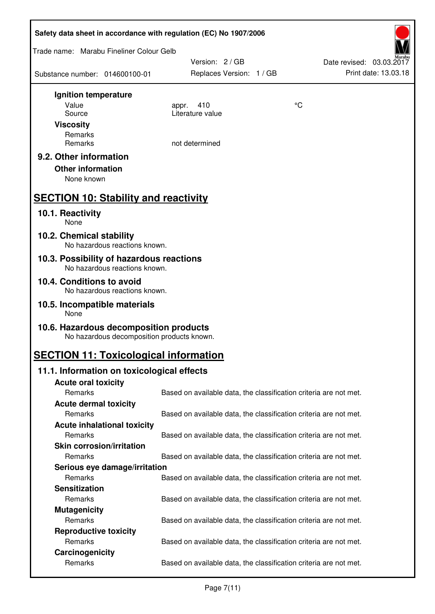| Safety data sheet in accordance with regulation (EC) No 1907/2006                    |                                                                   |                          |  |  |
|--------------------------------------------------------------------------------------|-------------------------------------------------------------------|--------------------------|--|--|
| Trade name: Marabu Fineliner Colour Gelb                                             |                                                                   |                          |  |  |
|                                                                                      | Version: 2 / GB                                                   | Date revised: 03.03.2017 |  |  |
| Substance number: 014600100-01                                                       | Replaces Version: 1 / GB                                          | Print date: 13.03.18     |  |  |
| Ignition temperature                                                                 |                                                                   |                          |  |  |
| Value                                                                                | 410<br>appr.                                                      | °C                       |  |  |
| Source                                                                               | Literature value                                                  |                          |  |  |
| <b>Viscosity</b>                                                                     |                                                                   |                          |  |  |
| Remarks<br>Remarks                                                                   | not determined                                                    |                          |  |  |
| 9.2. Other information                                                               |                                                                   |                          |  |  |
| <b>Other information</b>                                                             |                                                                   |                          |  |  |
| None known                                                                           |                                                                   |                          |  |  |
|                                                                                      |                                                                   |                          |  |  |
| <b>SECTION 10: Stability and reactivity</b>                                          |                                                                   |                          |  |  |
| 10.1. Reactivity<br>None                                                             |                                                                   |                          |  |  |
| 10.2. Chemical stability                                                             |                                                                   |                          |  |  |
| No hazardous reactions known.                                                        |                                                                   |                          |  |  |
| 10.3. Possibility of hazardous reactions<br>No hazardous reactions known.            |                                                                   |                          |  |  |
| 10.4. Conditions to avoid                                                            |                                                                   |                          |  |  |
| No hazardous reactions known.                                                        |                                                                   |                          |  |  |
| 10.5. Incompatible materials<br><b>None</b>                                          |                                                                   |                          |  |  |
| 10.6. Hazardous decomposition products<br>No hazardous decomposition products known. |                                                                   |                          |  |  |
| <b>SECTION 11: Toxicological information</b>                                         |                                                                   |                          |  |  |
| 11.1. Information on toxicological effects                                           |                                                                   |                          |  |  |
| <b>Acute oral toxicity</b>                                                           |                                                                   |                          |  |  |
| Remarks                                                                              | Based on available data, the classification criteria are not met. |                          |  |  |
| <b>Acute dermal toxicity</b>                                                         |                                                                   |                          |  |  |
| Remarks                                                                              | Based on available data, the classification criteria are not met. |                          |  |  |
| <b>Acute inhalational toxicity</b>                                                   |                                                                   |                          |  |  |
| Remarks                                                                              | Based on available data, the classification criteria are not met. |                          |  |  |
| <b>Skin corrosion/irritation</b><br>Remarks                                          |                                                                   |                          |  |  |
|                                                                                      | Based on available data, the classification criteria are not met. |                          |  |  |
| Serious eye damage/irritation<br>Remarks                                             | Based on available data, the classification criteria are not met. |                          |  |  |
| <b>Sensitization</b>                                                                 |                                                                   |                          |  |  |
| Remarks                                                                              | Based on available data, the classification criteria are not met. |                          |  |  |
| <b>Mutagenicity</b>                                                                  |                                                                   |                          |  |  |
| Remarks                                                                              | Based on available data, the classification criteria are not met. |                          |  |  |
| <b>Reproductive toxicity</b>                                                         |                                                                   |                          |  |  |
| Remarks                                                                              | Based on available data, the classification criteria are not met. |                          |  |  |
| Carcinogenicity                                                                      |                                                                   |                          |  |  |
| Remarks                                                                              | Based on available data, the classification criteria are not met. |                          |  |  |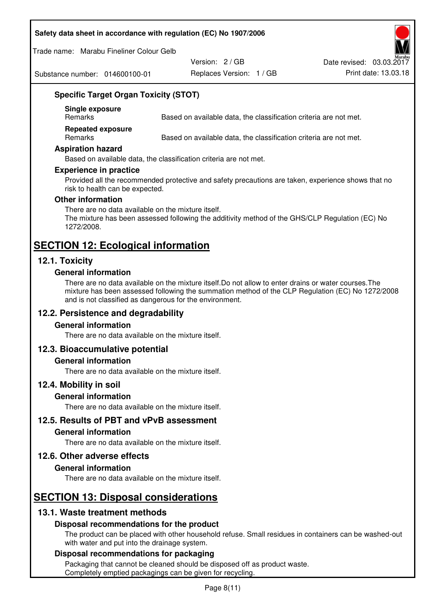#### **Safety data sheet in accordance with regulation (EC) No 1907/2006**

Trade name: Marabu Fineliner Colour Gelb

Substance number: 014600100-01

Version: 2 / GB

Replaces Version: 1 / GB Print date: 13.03.18 Date revised: 03.03.2017

# **Specific Target Organ Toxicity (STOT)**

**Single exposure** 

Based on available data, the classification criteria are not met.

**Repeated exposure** 

Remarks Based on available data, the classification criteria are not met.

#### **Aspiration hazard**

Based on available data, the classification criteria are not met.

#### **Experience in practice**

Provided all the recommended protective and safety precautions are taken, experience shows that no risk to health can be expected.

#### **Other information**

There are no data available on the mixture itself. The mixture has been assessed following the additivity method of the GHS/CLP Regulation (EC) No 1272/2008.

# **SECTION 12: Ecological information**

## **12.1. Toxicity**

#### **General information**

There are no data available on the mixture itself.Do not allow to enter drains or water courses.The mixture has been assessed following the summation method of the CLP Regulation (EC) No 1272/2008 and is not classified as dangerous for the environment.

## **12.2. Persistence and degradability**

#### **General information**

There are no data available on the mixture itself.

## **12.3. Bioaccumulative potential**

#### **General information**

There are no data available on the mixture itself.

#### **12.4. Mobility in soil**

#### **General information**

There are no data available on the mixture itself.

**12.5. Results of PBT and vPvB assessment** 

#### **General information**

There are no data available on the mixture itself.

#### **12.6. Other adverse effects**

#### **General information**

There are no data available on the mixture itself.

# **SECTION 13: Disposal considerations**

## **13.1. Waste treatment methods**

## **Disposal recommendations for the product**

The product can be placed with other household refuse. Small residues in containers can be washed-out with water and put into the drainage system.

#### **Disposal recommendations for packaging**

Packaging that cannot be cleaned should be disposed off as product waste. Completely emptied packagings can be given for recycling.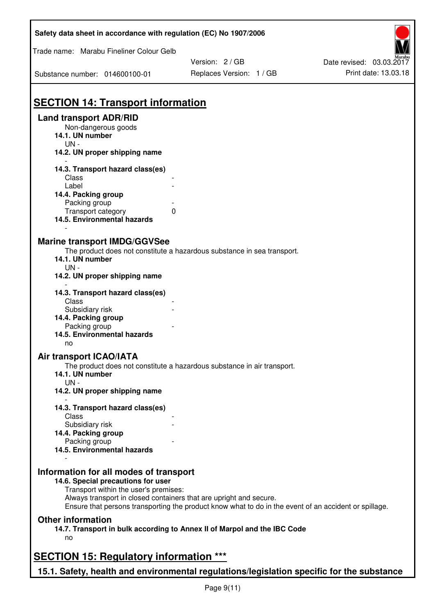| Safety data sheet in accordance with regulation (EC) No 1907/2006                         |                                                                                                       |                          |
|-------------------------------------------------------------------------------------------|-------------------------------------------------------------------------------------------------------|--------------------------|
| Trade name: Marabu Fineliner Colour Gelb                                                  |                                                                                                       |                          |
|                                                                                           | Version: 2/GB                                                                                         | Date revised: 03.03.2017 |
| Substance number: 014600100-01                                                            | Replaces Version: 1 / GB                                                                              | Print date: 13.03.18     |
|                                                                                           |                                                                                                       |                          |
| <b>SECTION 14: Transport information</b>                                                  |                                                                                                       |                          |
| <b>Land transport ADR/RID</b>                                                             |                                                                                                       |                          |
| Non-dangerous goods<br>14.1. UN number<br>$UN -$                                          |                                                                                                       |                          |
| 14.2. UN proper shipping name                                                             |                                                                                                       |                          |
| 14.3. Transport hazard class(es)                                                          |                                                                                                       |                          |
| Class                                                                                     |                                                                                                       |                          |
| Label                                                                                     |                                                                                                       |                          |
| 14.4. Packing group                                                                       |                                                                                                       |                          |
| Packing group                                                                             |                                                                                                       |                          |
| 0<br>Transport category<br>14.5. Environmental hazards                                    |                                                                                                       |                          |
|                                                                                           |                                                                                                       |                          |
| <b>Marine transport IMDG/GGVSee</b>                                                       |                                                                                                       |                          |
|                                                                                           | The product does not constitute a hazardous substance in sea transport.                               |                          |
| 14.1. UN number                                                                           |                                                                                                       |                          |
| UN-<br>14.2. UN proper shipping name                                                      |                                                                                                       |                          |
| 14.3. Transport hazard class(es)<br>Class                                                 |                                                                                                       |                          |
| Subsidiary risk                                                                           |                                                                                                       |                          |
| 14.4. Packing group                                                                       |                                                                                                       |                          |
| Packing group                                                                             |                                                                                                       |                          |
| 14.5. Environmental hazards                                                               |                                                                                                       |                          |
| no                                                                                        |                                                                                                       |                          |
| Air transport ICAO/IATA                                                                   |                                                                                                       |                          |
|                                                                                           | The product does not constitute a hazardous substance in air transport.                               |                          |
| 14.1. UN number                                                                           |                                                                                                       |                          |
| $UN -$                                                                                    |                                                                                                       |                          |
| 14.2. UN proper shipping name                                                             |                                                                                                       |                          |
| 14.3. Transport hazard class(es)<br>Class                                                 |                                                                                                       |                          |
| Subsidiary risk                                                                           |                                                                                                       |                          |
| 14.4. Packing group                                                                       |                                                                                                       |                          |
| Packing group                                                                             |                                                                                                       |                          |
| 14.5. Environmental hazards                                                               |                                                                                                       |                          |
| Information for all modes of transport                                                    |                                                                                                       |                          |
| 14.6. Special precautions for user                                                        |                                                                                                       |                          |
| Transport within the user's premises:                                                     |                                                                                                       |                          |
| Always transport in closed containers that are upright and secure.                        | Ensure that persons transporting the product know what to do in the event of an accident or spillage. |                          |
| <b>Other information</b>                                                                  |                                                                                                       |                          |
| 14.7. Transport in bulk according to Annex II of Marpol and the IBC Code                  |                                                                                                       |                          |
| no                                                                                        |                                                                                                       |                          |
| <b>SECTION 15: Regulatory information ***</b>                                             |                                                                                                       |                          |
| 15.1. Safety, health and environmental regulations/legislation specific for the substance |                                                                                                       |                          |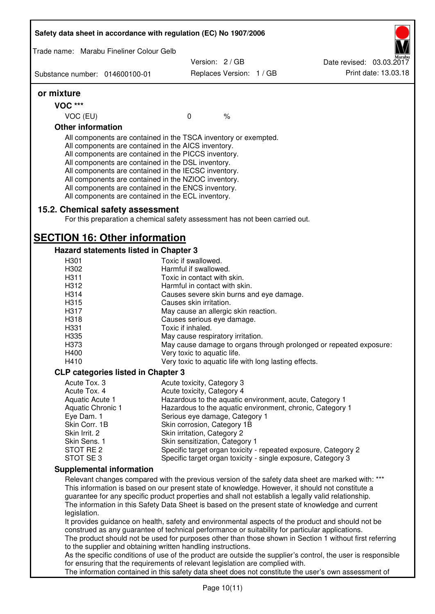| Trade name: Marabu Fineliner Colour Gelb                                                                                                                                                                                                                                                                                                                                                                                                                          |                                                              |                                                                                                                                                                                                                                                                                                             |                                                                                                                                                                                                              |
|-------------------------------------------------------------------------------------------------------------------------------------------------------------------------------------------------------------------------------------------------------------------------------------------------------------------------------------------------------------------------------------------------------------------------------------------------------------------|--------------------------------------------------------------|-------------------------------------------------------------------------------------------------------------------------------------------------------------------------------------------------------------------------------------------------------------------------------------------------------------|--------------------------------------------------------------------------------------------------------------------------------------------------------------------------------------------------------------|
|                                                                                                                                                                                                                                                                                                                                                                                                                                                                   |                                                              | Version: 2/GB                                                                                                                                                                                                                                                                                               | Date revised: 03.03.2017                                                                                                                                                                                     |
| Substance number: 014600100-01                                                                                                                                                                                                                                                                                                                                                                                                                                    |                                                              | Replaces Version: 1 / GB                                                                                                                                                                                                                                                                                    | Print date: 13.03.18                                                                                                                                                                                         |
| or mixture                                                                                                                                                                                                                                                                                                                                                                                                                                                        |                                                              |                                                                                                                                                                                                                                                                                                             |                                                                                                                                                                                                              |
| VOC ***                                                                                                                                                                                                                                                                                                                                                                                                                                                           |                                                              |                                                                                                                                                                                                                                                                                                             |                                                                                                                                                                                                              |
| VOC (EU)                                                                                                                                                                                                                                                                                                                                                                                                                                                          | $\mathbf 0$                                                  | $\%$                                                                                                                                                                                                                                                                                                        |                                                                                                                                                                                                              |
| <b>Other information</b>                                                                                                                                                                                                                                                                                                                                                                                                                                          |                                                              |                                                                                                                                                                                                                                                                                                             |                                                                                                                                                                                                              |
| All components are contained in the TSCA inventory or exempted.<br>All components are contained in the AICS inventory.<br>All components are contained in the PICCS inventory.<br>All components are contained in the DSL inventory.<br>All components are contained in the IECSC inventory.<br>All components are contained in the NZIOC inventory.<br>All components are contained in the ENCS inventory.<br>All components are contained in the ECL inventory. |                                                              |                                                                                                                                                                                                                                                                                                             |                                                                                                                                                                                                              |
| 15.2. Chemical safety assessment                                                                                                                                                                                                                                                                                                                                                                                                                                  |                                                              | For this preparation a chemical safety assessment has not been carried out.                                                                                                                                                                                                                                 |                                                                                                                                                                                                              |
| <b>SECTION 16: Other information</b>                                                                                                                                                                                                                                                                                                                                                                                                                              |                                                              |                                                                                                                                                                                                                                                                                                             |                                                                                                                                                                                                              |
| Hazard statements listed in Chapter 3                                                                                                                                                                                                                                                                                                                                                                                                                             |                                                              |                                                                                                                                                                                                                                                                                                             |                                                                                                                                                                                                              |
| H <sub>301</sub>                                                                                                                                                                                                                                                                                                                                                                                                                                                  | Toxic if swallowed.                                          |                                                                                                                                                                                                                                                                                                             |                                                                                                                                                                                                              |
| H302                                                                                                                                                                                                                                                                                                                                                                                                                                                              | Harmful if swallowed.                                        |                                                                                                                                                                                                                                                                                                             |                                                                                                                                                                                                              |
| H311<br>H312                                                                                                                                                                                                                                                                                                                                                                                                                                                      | Toxic in contact with skin.<br>Harmful in contact with skin. |                                                                                                                                                                                                                                                                                                             |                                                                                                                                                                                                              |
| H314                                                                                                                                                                                                                                                                                                                                                                                                                                                              |                                                              | Causes severe skin burns and eye damage.                                                                                                                                                                                                                                                                    |                                                                                                                                                                                                              |
| H315                                                                                                                                                                                                                                                                                                                                                                                                                                                              | Causes skin irritation.                                      |                                                                                                                                                                                                                                                                                                             |                                                                                                                                                                                                              |
| H317                                                                                                                                                                                                                                                                                                                                                                                                                                                              |                                                              | May cause an allergic skin reaction.                                                                                                                                                                                                                                                                        |                                                                                                                                                                                                              |
| H318                                                                                                                                                                                                                                                                                                                                                                                                                                                              | Causes serious eye damage.                                   |                                                                                                                                                                                                                                                                                                             |                                                                                                                                                                                                              |
| H331                                                                                                                                                                                                                                                                                                                                                                                                                                                              | Toxic if inhaled.                                            |                                                                                                                                                                                                                                                                                                             |                                                                                                                                                                                                              |
| H335                                                                                                                                                                                                                                                                                                                                                                                                                                                              | May cause respiratory irritation.                            |                                                                                                                                                                                                                                                                                                             |                                                                                                                                                                                                              |
| H373                                                                                                                                                                                                                                                                                                                                                                                                                                                              |                                                              |                                                                                                                                                                                                                                                                                                             | May cause damage to organs through prolonged or repeated exposure:                                                                                                                                           |
| H400                                                                                                                                                                                                                                                                                                                                                                                                                                                              | Very toxic to aquatic life.                                  |                                                                                                                                                                                                                                                                                                             |                                                                                                                                                                                                              |
| H410                                                                                                                                                                                                                                                                                                                                                                                                                                                              |                                                              | Very toxic to aquatic life with long lasting effects.                                                                                                                                                                                                                                                       |                                                                                                                                                                                                              |
| <b>CLP categories listed in Chapter 3</b>                                                                                                                                                                                                                                                                                                                                                                                                                         |                                                              |                                                                                                                                                                                                                                                                                                             |                                                                                                                                                                                                              |
| Acute Tox. 3                                                                                                                                                                                                                                                                                                                                                                                                                                                      | Acute toxicity, Category 3                                   |                                                                                                                                                                                                                                                                                                             |                                                                                                                                                                                                              |
| Acute Tox. 4                                                                                                                                                                                                                                                                                                                                                                                                                                                      | Acute toxicity, Category 4                                   |                                                                                                                                                                                                                                                                                                             |                                                                                                                                                                                                              |
| Aquatic Acute 1                                                                                                                                                                                                                                                                                                                                                                                                                                                   |                                                              | Hazardous to the aquatic environment, acute, Category 1                                                                                                                                                                                                                                                     |                                                                                                                                                                                                              |
| Aquatic Chronic 1                                                                                                                                                                                                                                                                                                                                                                                                                                                 |                                                              | Hazardous to the aquatic environment, chronic, Category 1                                                                                                                                                                                                                                                   |                                                                                                                                                                                                              |
| Eye Dam. 1                                                                                                                                                                                                                                                                                                                                                                                                                                                        |                                                              | Serious eye damage, Category 1                                                                                                                                                                                                                                                                              |                                                                                                                                                                                                              |
| Skin Corr. 1B                                                                                                                                                                                                                                                                                                                                                                                                                                                     | Skin corrosion, Category 1B                                  |                                                                                                                                                                                                                                                                                                             |                                                                                                                                                                                                              |
| Skin Irrit. 2<br>Skin Sens. 1                                                                                                                                                                                                                                                                                                                                                                                                                                     | Skin irritation, Category 2                                  |                                                                                                                                                                                                                                                                                                             |                                                                                                                                                                                                              |
| STOT RE 2                                                                                                                                                                                                                                                                                                                                                                                                                                                         | Skin sensitization, Category 1                               | Specific target organ toxicity - repeated exposure, Category 2                                                                                                                                                                                                                                              |                                                                                                                                                                                                              |
| STOT SE3                                                                                                                                                                                                                                                                                                                                                                                                                                                          |                                                              | Specific target organ toxicity - single exposure, Category 3                                                                                                                                                                                                                                                |                                                                                                                                                                                                              |
| <b>Supplemental information</b>                                                                                                                                                                                                                                                                                                                                                                                                                                   |                                                              |                                                                                                                                                                                                                                                                                                             |                                                                                                                                                                                                              |
|                                                                                                                                                                                                                                                                                                                                                                                                                                                                   |                                                              |                                                                                                                                                                                                                                                                                                             | Relevant changes compared with the previous version of the safety data sheet are marked with: ***                                                                                                            |
| legislation.                                                                                                                                                                                                                                                                                                                                                                                                                                                      |                                                              | This information is based on our present state of knowledge. However, it should not constitute a<br>guarantee for any specific product properties and shall not establish a legally valid relationship.<br>The information in this Safety Data Sheet is based on the present state of knowledge and current |                                                                                                                                                                                                              |
| to the supplier and obtaining written handling instructions.                                                                                                                                                                                                                                                                                                                                                                                                      |                                                              | construed as any guarantee of technical performance or suitability for particular applications.                                                                                                                                                                                                             | It provides guidance on health, safety and environmental aspects of the product and should not be<br>The product should not be used for purposes other than those shown in Section 1 without first referring |
|                                                                                                                                                                                                                                                                                                                                                                                                                                                                   |                                                              |                                                                                                                                                                                                                                                                                                             | As the specific conditions of use of the product are outside the supplier's control, the user is responsible                                                                                                 |
|                                                                                                                                                                                                                                                                                                                                                                                                                                                                   |                                                              | for ensuring that the requirements of relevant legislation are complied with.                                                                                                                                                                                                                               |                                                                                                                                                                                                              |
|                                                                                                                                                                                                                                                                                                                                                                                                                                                                   |                                                              |                                                                                                                                                                                                                                                                                                             | The information contained in this safety data sheet does not constitute the user's own assessment of                                                                                                         |